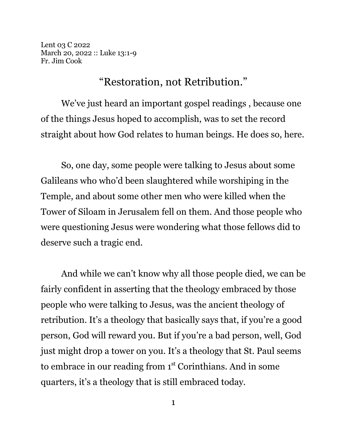Lent 03 C 2022 March 20, 2022 :: Luke 13:1-9 Fr. Jim Cook

## "Restoration, not Retribution."

We've just heard an important gospel readings , because one of the things Jesus hoped to accomplish, was to set the record straight about how God relates to human beings. He does so, here.

So, one day, some people were talking to Jesus about some Galileans who who'd been slaughtered while worshiping in the Temple, and about some other men who were killed when the Tower of Siloam in Jerusalem fell on them. And those people who were questioning Jesus were wondering what those fellows did to deserve such a tragic end.

And while we can't know why all those people died, we can be fairly confident in asserting that the theology embraced by those people who were talking to Jesus, was the ancient theology of retribution. It's a theology that basically says that, if you're a good person, God will reward you. But if you're a bad person, well, God just might drop a tower on you. It's a theology that St. Paul seems to embrace in our reading from 1<sup>st</sup> Corinthians. And in some quarters, it's a theology that is still embraced today.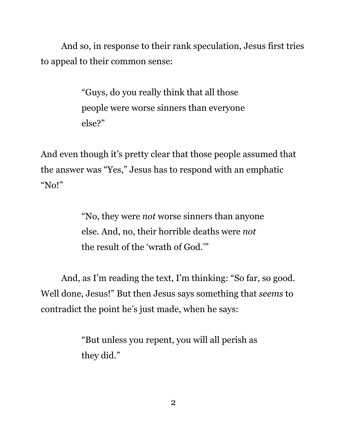And so, in response to their rank speculation, Jesus first tries to appeal to their common sense:

> "Guys, do you really think that all those people were worse sinners than everyone else?"

And even though it's pretty clear that those people assumed that the answer was "Yes," Jesus has to respond with an emphatic "No!"

> "No, they were *not* worse sinners than anyone else. And, no, their horrible deaths were *not* the result of the 'wrath of God.'"

And, as I'm reading the text, I'm thinking: "So far, so good. Well done, Jesus!" But then Jesus says something that *seems* to contradict the point he's just made, when he says:

> "But unless you repent, you will all perish as they did."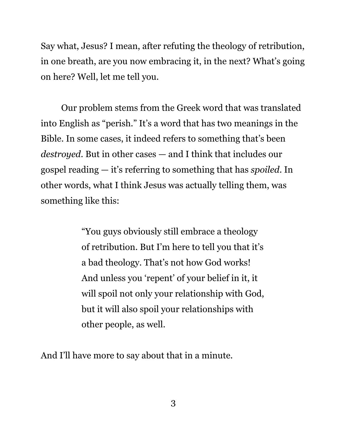Say what, Jesus? I mean, after refuting the theology of retribution, in one breath, are you now embracing it, in the next? What's going on here? Well, let me tell you.

Our problem stems from the Greek word that was translated into English as "perish." It's a word that has two meanings in the Bible. In some cases, it indeed refers to something that's been *destroyed*. But in other cases — and I think that includes our gospel reading — it's referring to something that has *spoiled*. In other words, what I think Jesus was actually telling them, was something like this:

> "You guys obviously still embrace a theology of retribution. But I'm here to tell you that it's a bad theology. That's not how God works! And unless you 'repent' of your belief in it, it will spoil not only your relationship with God, but it will also spoil your relationships with other people, as well.

And I'll have more to say about that in a minute.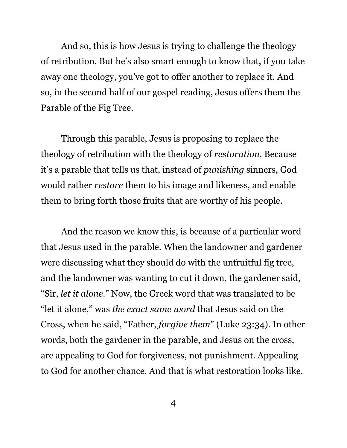And so, this is how Jesus is trying to challenge the theology of retribution. But he's also smart enough to know that, if you take away one theology, you've got to offer another to replace it. And so, in the second half of our gospel reading, Jesus offers them the Parable of the Fig Tree.

Through this parable, Jesus is proposing to replace the theology of retribution with the theology of *restoration*. Because it's a parable that tells us that, instead of *punishing* sinners, God would rather *restore* them to his image and likeness, and enable them to bring forth those fruits that are worthy of his people.

And the reason we know this, is because of a particular word that Jesus used in the parable. When the landowner and gardener were discussing what they should do with the unfruitful fig tree, and the landowner was wanting to cut it down, the gardener said, "Sir, *let it alone*." Now, the Greek word that was translated to be "let it alone," was *the exact same word* that Jesus said on the Cross, when he said, "Father, *forgive them*" (Luke 23:34). In other words, both the gardener in the parable, and Jesus on the cross, are appealing to God for forgiveness, not punishment. Appealing to God for another chance. And that is what restoration looks like.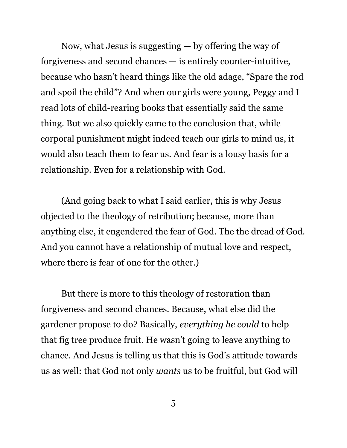Now, what Jesus is suggesting  $-$  by offering the way of forgiveness and second chances — is entirely counter-intuitive, because who hasn't heard things like the old adage, "Spare the rod and spoil the child"? And when our girls were young, Peggy and I read lots of child-rearing books that essentially said the same thing. But we also quickly came to the conclusion that, while corporal punishment might indeed teach our girls to mind us, it would also teach them to fear us. And fear is a lousy basis for a relationship. Even for a relationship with God.

(And going back to what I said earlier, this is why Jesus objected to the theology of retribution; because, more than anything else, it engendered the fear of God. The the dread of God. And you cannot have a relationship of mutual love and respect, where there is fear of one for the other.)

But there is more to this theology of restoration than forgiveness and second chances. Because, what else did the gardener propose to do? Basically, *everything he could* to help that fig tree produce fruit. He wasn't going to leave anything to chance. And Jesus is telling us that this is God's attitude towards us as well: that God not only *wants* us to be fruitful, but God will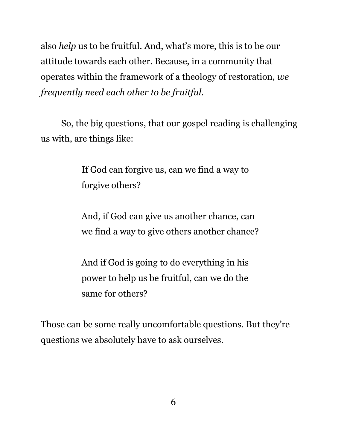also *help* us to be fruitful. And, what's more, this is to be our attitude towards each other. Because, in a community that operates within the framework of a theology of restoration, *we frequently need each other to be fruitful*.

So, the big questions, that our gospel reading is challenging us with, are things like:

> If God can forgive us, can we find a way to forgive others?

And, if God can give us another chance, can we find a way to give others another chance?

And if God is going to do everything in his power to help us be fruitful, can we do the same for others?

Those can be some really uncomfortable questions. But they're questions we absolutely have to ask ourselves.